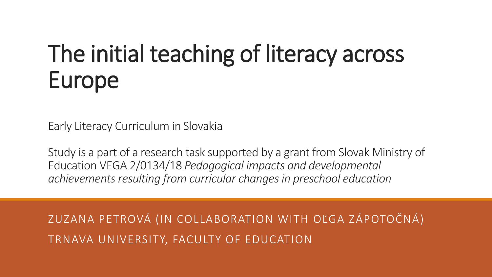# The initial teaching of literacy across Europe

Early Literacy Curriculum in Slovakia

Study is a part of a research task supported by a grant from Slovak Ministry of Education VEGA 2/0134/18 *Pedagogical impacts and developmental achievements resulting from curricular changes in preschool education*

ZUZANA PETROVÁ (IN COLLABORATION WITH OĽGA ZÁPOTOČNÁ) TRNAVA UNIVERSITY, FACULTY OF EDUCATION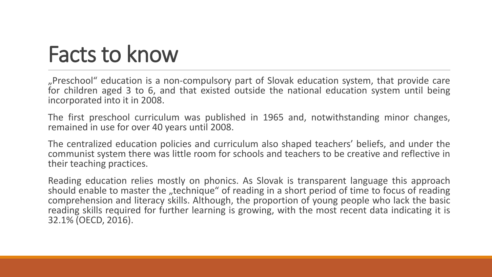## Facts to know

"Preschool" education is a non-compulsory part of Slovak education system, that provide care for children aged 3 to 6, and that existed outside the national education system until being incorporated into it in 2008.

The first preschool curriculum was published in 1965 and, notwithstanding minor changes, remained in use for over 40 years until 2008.

The centralized education policies and curriculum also shaped teachers' beliefs, and under the communist system there was little room for schools and teachers to be creative and reflective in their teaching practices.

Reading education relies mostly on phonics. As Slovak is transparent language this approach should enable to master the "technique" of reading in a short period of time to focus of reading comprehension and literacy skills. Although, the proportion of young people who lack the basic reading skills required for further learning is growing, with the most recent data indicating it is 32.1% (OECD, 2016).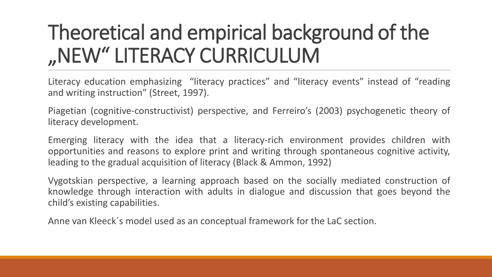## Theoretical and empirical background of the "NEW" LITERACY CURRICULUM

Literacy education emphasizing "literacy practices" and "literacy events" instead of "reading and writing instruction" (Street, 1997).

Piagetian (cognitive-constructivist) perspective, and Ferreiro's (2003) psychogenetic theory of literacy development.

Emerging literacy with the idea that a literacy-rich environment provides children with opportunities and reasons to explore print and writing through spontaneous cognitive activity, leading to the gradual acquisition of literacy (Black & Ammon, 1992)

Vygotskian perspective, a learning approach based on the socially mediated construction of knowledge through interaction with adults in dialogue and discussion that goes beyond the child's existing capabilities.

Anne van Kleeck´s model used as an conceptual framework for the LaC section.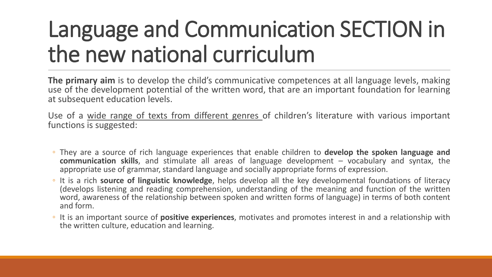## Language and Communication SECTION in the new national curriculum

**The primary aim** is to develop the child's communicative competences at all language levels, making use of the development potential of the written word, that are an important foundation for learning at subsequent education levels.

Use of a wide range of texts from different genres of children's literature with various important functions is suggested:

- They are a source of rich language experiences that enable children to **develop the spoken language and communication skills**, and stimulate all areas of language development – vocabulary and syntax, the appropriate use of grammar, standard language and socially appropriate forms of expression.
- It is a rich **source of linguistic knowledge**, helps develop all the key developmental foundations of literacy (develops listening and reading comprehension, understanding of the meaning and function of the written word, awareness of the relationship between spoken and written forms of language) in terms of both content and form.
- It is an important source of **positive experiences**, motivates and promotes interest in and a relationship with the written culture, education and learning.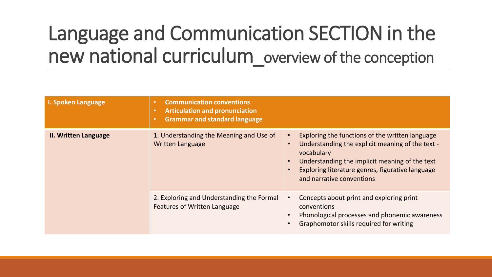### Language and Communication SECTION in the new national curriculum\_overviewof the conception

| I. Spoken Language          | <b>Communication conventions</b><br>$\bullet$<br><b>Articulation and pronunciation</b><br>$\bullet$<br><b>Grammar and standard language</b><br>$\bullet$ |                                                                                                                                                                                                                                                      |
|-----------------------------|----------------------------------------------------------------------------------------------------------------------------------------------------------|------------------------------------------------------------------------------------------------------------------------------------------------------------------------------------------------------------------------------------------------------|
| <b>II. Written Language</b> | 1. Understanding the Meaning and Use of<br><b>Written Language</b>                                                                                       | Exploring the functions of the written language<br>Understanding the explicit meaning of the text -<br>vocabulary<br>Understanding the implicit meaning of the text<br>Exploring literature genres, figurative language<br>and narrative conventions |
|                             | 2. Exploring and Understanding the Formal<br><b>Features of Written Language</b>                                                                         | Concepts about print and exploring print<br>conventions<br>Phonological processes and phonemic awareness<br>Graphomotor skills required for writing                                                                                                  |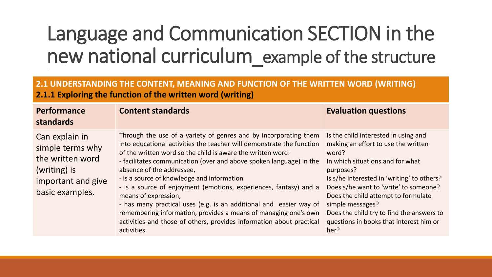#### Language and Communication SECTION in the new national curriculum\_example of the structure

#### **2.1 UNDERSTANDING THE CONTENT, MEANING AND FUNCTION OF THE WRITTEN WORD (WRITING) 2.1.1 Exploring the function of the written word (writing)**

| <b>Performance</b><br>standards                                                                                 | <b>Content standards</b>                                                                                                                                                                                                                                                                                                                                                                                                                                                                                                                                                                                                                                                                | <b>Evaluation questions</b>                                                                                                                                                                                                                                                                                                                                                             |
|-----------------------------------------------------------------------------------------------------------------|-----------------------------------------------------------------------------------------------------------------------------------------------------------------------------------------------------------------------------------------------------------------------------------------------------------------------------------------------------------------------------------------------------------------------------------------------------------------------------------------------------------------------------------------------------------------------------------------------------------------------------------------------------------------------------------------|-----------------------------------------------------------------------------------------------------------------------------------------------------------------------------------------------------------------------------------------------------------------------------------------------------------------------------------------------------------------------------------------|
| Can explain in<br>simple terms why<br>the written word<br>(writing) is<br>important and give<br>basic examples. | Through the use of a variety of genres and by incorporating them<br>into educational activities the teacher will demonstrate the function<br>of the written word so the child is aware the written word:<br>- facilitates communication (over and above spoken language) in the<br>absence of the addressee,<br>- is a source of knowledge and information<br>- is a source of enjoyment (emotions, experiences, fantasy) and a<br>means of expression,<br>- has many practical uses (e.g. is an additional and easier way of<br>remembering information, provides a means of managing one's own<br>activities and those of others, provides information about practical<br>activities. | Is the child interested in using and<br>making an effort to use the written<br>word?<br>In which situations and for what<br>purposes?<br>Is s/he interested in 'writing' to others?<br>Does s/he want to 'write' to someone?<br>Does the child attempt to formulate<br>simple messages?<br>Does the child try to find the answers to<br>questions in books that interest him or<br>her? |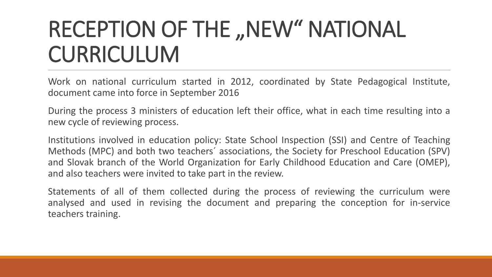## RECEPTION OF THE "NEW" NATIONAL CURRICULUM

Work on national curriculum started in 2012, coordinated by State Pedagogical Institute, document came into force in September 2016

During the process 3 ministers of education left their office, what in each time resulting into a new cycle of reviewing process.

Institutions involved in education policy: State School Inspection (SSI) and Centre of Teaching Methods (MPC) and both two teachers´ associations, the Society for Preschool Education (SPV) and Slovak branch of the World Organization for Early Childhood Education and Care (OMEP), and also teachers were invited to take part in the review.

Statements of all of them collected during the process of reviewing the curriculum were analysed and used in revising the document and preparing the conception for in-service teachers training.